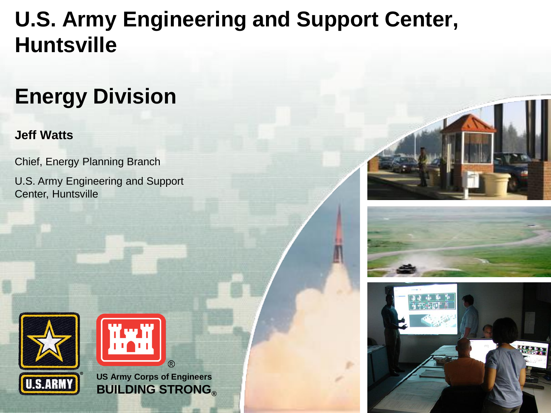### **U.S. Army Engineering and Support Center, Huntsville**

### **Energy Division**

#### **Jeff Watts**

Chief, Energy Planning Branch

U.S. Army Engineering and Support Center, Huntsville









**US Army Corps of Engineers BUILDING STRONG®**

 $(R)$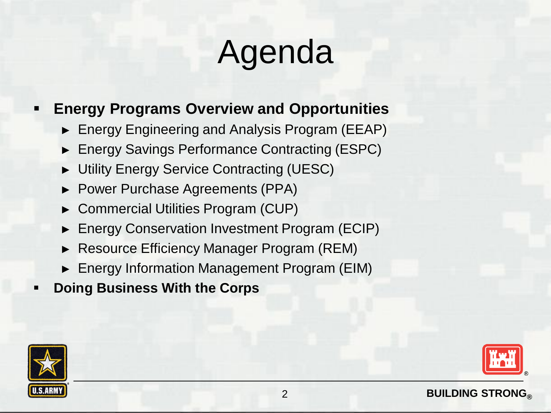# Agenda

#### **Energy Programs Overview and Opportunities**

- ► Energy Engineering and Analysis Program (EEAP)
- ► Energy Savings Performance Contracting (ESPC)
- ► Utility Energy Service Contracting (UESC)
- ► Power Purchase Agreements (PPA)
- ► Commercial Utilities Program (CUP)
- ► Energy Conservation Investment Program (ECIP)
- ► Resource Efficiency Manager Program (REM)
- ► Energy Information Management Program (EIM)
- **Doing Business With the Corps**



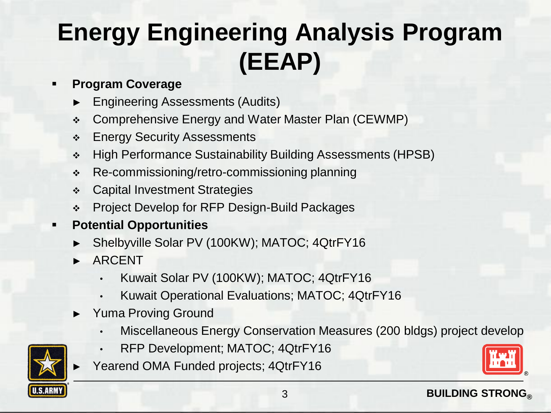### **Energy Engineering Analysis Program (EEAP)**

#### **Program Coverage**

- ► Engineering Assessments (Audits)
- Comprehensive Energy and Water Master Plan (CEWMP)
- **Energy Security Assessments**
- High Performance Sustainability Building Assessments (HPSB)
- Re-commissioning/retro-commissioning planning
- **↑ Capital Investment Strategies**
- Project Develop for RFP Design-Build Packages

#### **Potential Opportunities**

- Shelbyville Solar PV (100KW); MATOC; 4QtrFY16
- ► ARCENT
	- Kuwait Solar PV (100KW); MATOC; 4QtrFY16
	- Kuwait Operational Evaluations; MATOC; 4QtrFY16
- ► Yuma Proving Ground
	- Miscellaneous Energy Conservation Measures (200 bldgs) project develop
	- RFP Development; MATOC; 4QtrFY16
	- Yearend OMA Funded projects; 4QtrFY16

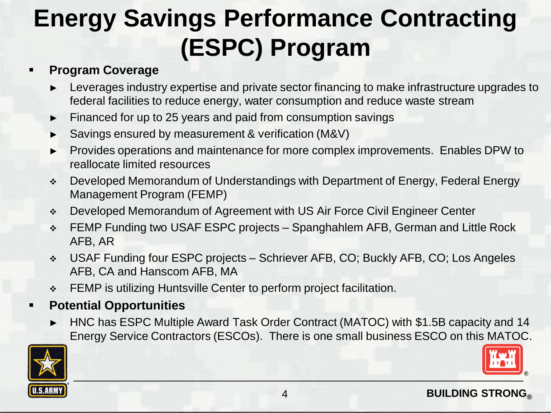### **Energy Savings Performance Contracting (ESPC) Program**

#### **Program Coverage**

- ► Leverages industry expertise and private sector financing to make infrastructure upgrades to federal facilities to reduce energy, water consumption and reduce waste stream
- Financed for up to 25 years and paid from consumption savings
- Savings ensured by measurement & verification (M&V)
- ► Provides operations and maintenance for more complex improvements. Enables DPW to reallocate limited resources
- Developed Memorandum of Understandings with Department of Energy, Federal Energy Management Program (FEMP)
- Developed Memorandum of Agreement with US Air Force Civil Engineer Center
- FEMP Funding two USAF ESPC projects Spanghahlem AFB, German and Little Rock AFB, AR
- USAF Funding four ESPC projects Schriever AFB, CO; Buckly AFB, CO; Los Angeles AFB, CA and Hanscom AFB, MA
- **EEMP** is utilizing Huntsville Center to perform project facilitation.

#### **Potential Opportunities**

► HNC has ESPC Multiple Award Task Order Contract (MATOC) with \$1.5B capacity and 14 Energy Service Contractors (ESCOs). There is one small business ESCO on this MATOC.

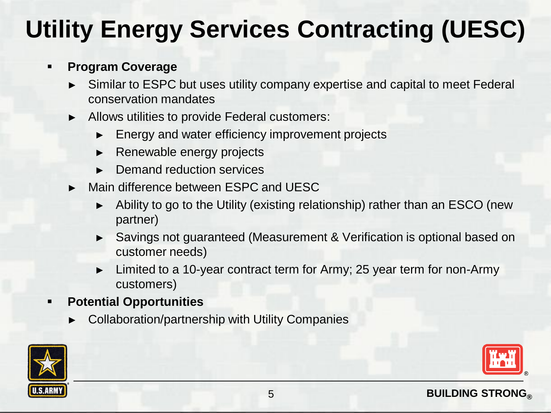### **Utility Energy Services Contracting (UESC)**

#### **Program Coverage**

- ► Similar to ESPC but uses utility company expertise and capital to meet Federal conservation mandates
- ► Allows utilities to provide Federal customers:
	- ► Energy and water efficiency improvement projects
	- ► Renewable energy projects
	- ► Demand reduction services
- ► Main difference between ESPC and UESC
	- ► Ability to go to the Utility (existing relationship) rather than an ESCO (new partner)
	- ► Savings not guaranteed (Measurement & Verification is optional based on customer needs)
	- Limited to a 10-year contract term for Army; 25 year term for non-Army customers)
- **Potential Opportunities**
	- Collaboration/partnership with Utility Companies

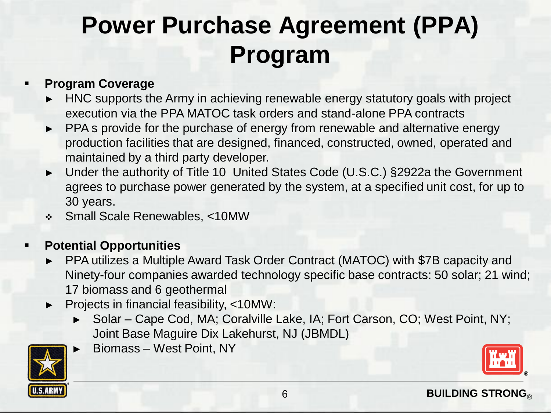### **Power Purchase Agreement (PPA) Program**

#### **Program Coverage**

- HNC supports the Army in achieving renewable energy statutory goals with project execution via the PPA MATOC task orders and stand-alone PPA contracts
- ► PPA s provide for the purchase of energy from renewable and alternative energy production facilities that are designed, financed, constructed, owned, operated and maintained by a third party developer.
- ► Under the authority of Title 10 United States Code (U.S.C.) §2922a the Government agrees to purchase power generated by the system, at a specified unit cost, for up to 30 years.
- Small Scale Renewables, <10MW

#### **Potential Opportunities**

- ► PPA utilizes a Multiple Award Task Order Contract (MATOC) with \$7B capacity and Ninety-four companies awarded technology specific base contracts: 50 solar; 21 wind; 17 biomass and 6 geothermal
- ► Projects in financial feasibility, <10MW:
	- ► Solar Cape Cod, MA; Coralville Lake, IA; Fort Carson, CO; West Point, NY; Joint Base Maguire Dix Lakehurst, NJ (JBMDL)



► Biomass – West Point, NY

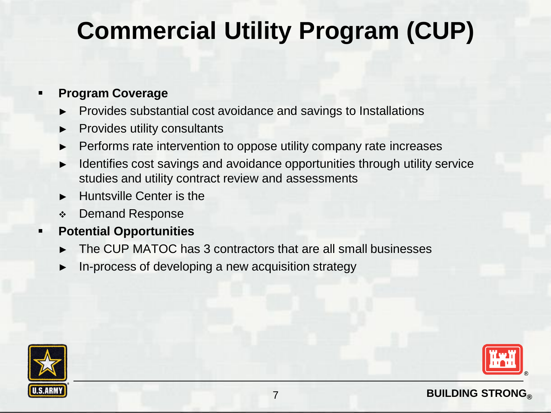### **Commercial Utility Program (CUP)**

#### **Program Coverage**

- ► Provides substantial cost avoidance and savings to Installations
- ► Provides utility consultants
- Performs rate intervention to oppose utility company rate increases
- Identifies cost savings and avoidance opportunities through utility service studies and utility contract review and assessments
- ► Huntsville Center is the
- Demand Response

#### **Potential Opportunities**

- The CUP MATOC has 3 contractors that are all small businesses
- In-process of developing a new acquisition strategy



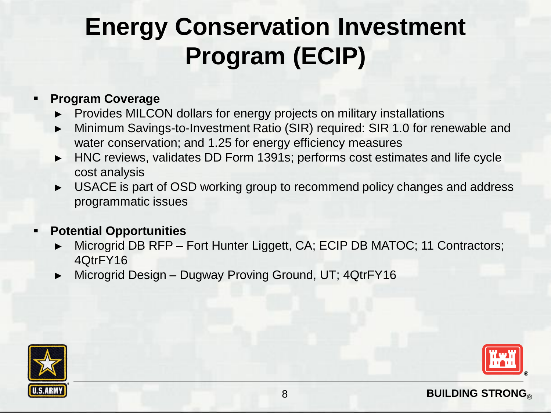### **Energy Conservation Investment Program (ECIP)**

#### **Program Coverage**

- ► Provides MILCON dollars for energy projects on military installations
- Minimum Savings-to-Investment Ratio (SIR) required: SIR 1.0 for renewable and water conservation; and 1.25 for energy efficiency measures
- ► HNC reviews, validates DD Form 1391s; performs cost estimates and life cycle cost analysis
- ► USACE is part of OSD working group to recommend policy changes and address programmatic issues

#### **Potential Opportunities**

- Microgrid DB RFP Fort Hunter Liggett, CA; ECIP DB MATOC; 11 Contractors; 4QtrFY16
- Microgrid Design Dugway Proving Ground, UT; 4QtrFY16



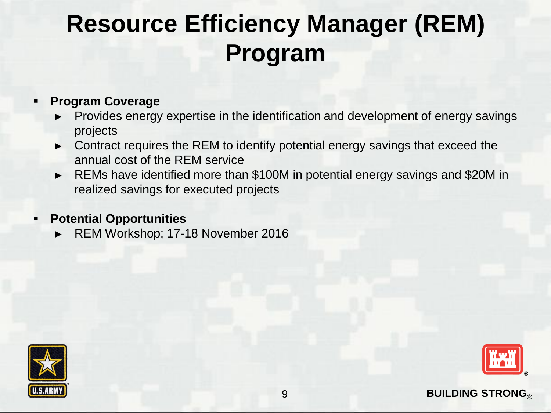### **Resource Efficiency Manager (REM) Program**

#### **Program Coverage**

- Provides energy expertise in the identification and development of energy savings projects
- ► Contract requires the REM to identify potential energy savings that exceed the annual cost of the REM service
- ► REMs have identified more than \$100M in potential energy savings and \$20M in realized savings for executed projects

#### **Potential Opportunities**

► REM Workshop; 17-18 November 2016



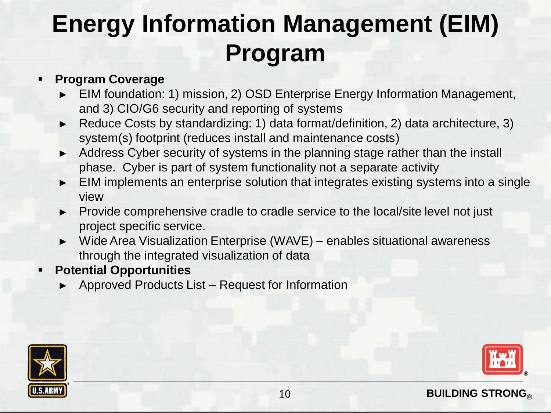### **Energy Information Management (EIM) Program**

#### **Program Coverage**

- ► EIM foundation: 1) mission, 2) OSD Enterprise Energy Information Management, and 3) CIO/G6 security and reporting of systems
- Reduce Costs by standardizing: 1) data format/definition, 2) data architecture, 3) system(s) footprint (reduces install and maintenance costs)
- ► Address Cyber security of systems in the planning stage rather than the install phase. Cyber is part of system functionality not a separate activity
- ► EIM implements an enterprise solution that integrates existing systems into a single view
- ► Provide comprehensive cradle to cradle service to the local/site level not just project specific service.
- ► Wide Area Visualization Enterprise (WAVE) enables situational awareness through the integrated visualization of data
- **Potential Opportunities**
	- ► Approved Products List Request for Information



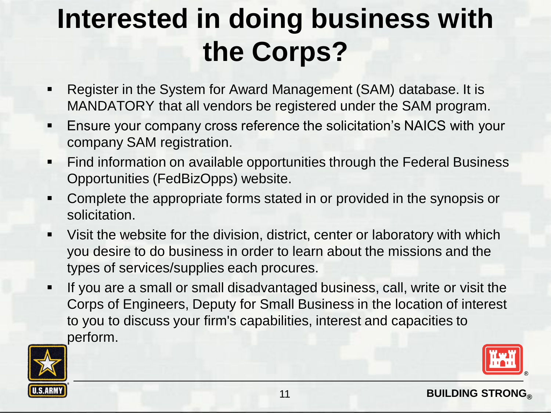# **Interested in doing business with the Corps?**

- Register in the System for Award Management (SAM) database. It is MANDATORY that all vendors be registered under the SAM program.
- Ensure your company cross reference the solicitation's NAICS with your company SAM registration.
- **Find information on available opportunities through the Federal Business** Opportunities (FedBizOpps) website.
- Complete the appropriate forms stated in or provided in the synopsis or solicitation.
- Visit the website for the division, district, center or laboratory with which you desire to do business in order to learn about the missions and the types of services/supplies each procures.
- If you are a small or small disadvantaged business, call, write or visit the Corps of Engineers, Deputy for Small Business in the location of interest to you to discuss your firm's capabilities, interest and capacities to perform.

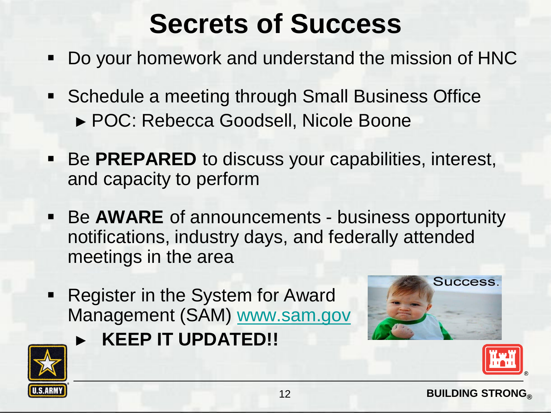## **Secrets of Success**

- Do your homework and understand the mission of HNC
- **Schedule a meeting through Small Business Office** ► POC: Rebecca Goodsell, Nicole Boone
- **Be PREPARED** to discuss your capabilities, interest, and capacity to perform
- Be AWARE of announcements business opportunity notifications, industry days, and federally attended meetings in the area
- **Register in the System for Award** Management (SAM) [www.sam.gov](http://www.sam.gov/)

► **KEEP IT UPDATED!!**





**Success**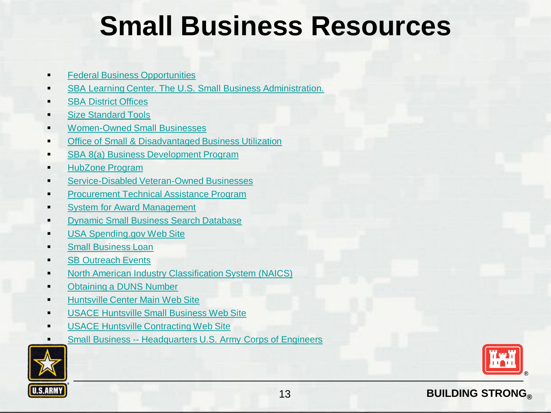### **Small Business Resources**

- [Federal Business Opportunities](http://www.fbo.gov/)
- [SBA Learning Center. The U.S. Small Business Administration.](https://www.sba.gov/tools/sba-learning-center/search/training)
- [SBA District Offices](https://www.sba.gov/tools/local-assistance/districtoffices)
- [Size Standard Tools](https://www.sba.gov/tools/size-standards-tool)
- [Women-Owned Small Businesses](https://www.sba.gov/content/women-owned-small-business-program)
- **[Office of Small & Disadvantaged Business Utilization](http://www.va.gov/osdbu/)**
- [SBA 8\(a\) Business Development Program](https://www.sba.gov/content/about-8a-business-development-program)
- [HubZone Program](https://www.sba.gov/category/navigation-structure/contracting/contracting-support-small-businesses/small-business-cert-0)
- [Service-Disabled Veteran-Owned Businesses](https://www.sba.gov/sdvosb)
- [Procurement Technical Assistance Program](http://www.dla.mil/smallbusiness/pages/ptap.aspx)
- [System for Award Management](https://www.sam.gov/portal/SAM/)
- [Dynamic Small Business Search Database](http://dsbs.sba.gov/dsbs/search/dsp_dsbs.cfm)
- [USA Spending.gov Web Site](https://www.usaspending.gov/Pages/Default.aspx)
- [Small Business Loan](https://www.sba.gov/tools/linc?ms=par)
- **[SB Outreach Events](http://www.acq.osd.mil/osbp/sb/index.shtml)**
- [North American Industry Classification System \(NAICS\)](http://www.census.gov/eos/www/naics/)
- [Obtaining a DUNS Number](http://fedgov.dnb.com/webform)
- [Huntsville Center Main Web Site](http://www.hnc.usace.army.mil/)
- [USACE Huntsville Small Business Web Site](http://www.hnc.usace.army.mil/BusinessWithUs/SmallBusiness.aspx)
- [USACE Huntsville Contracting Web Site](http://www.hnc.usace.army.mil/BusinessWithUs/Contracting.aspx)
- Small Business -- [Headquarters U.S. Army Corps of Engineers](http://www.usace.army.mil/BusinessWithUs/SmallBusiness.aspx)



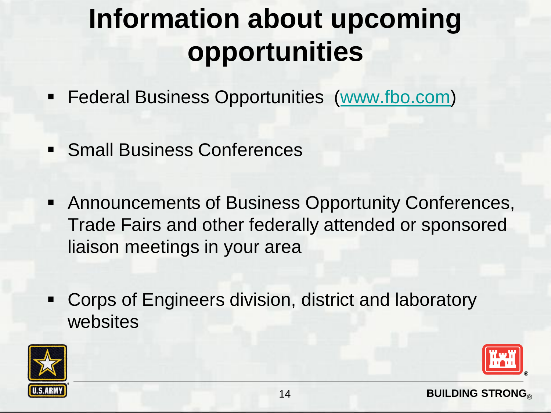# **Information about upcoming opportunities**

- **Federal Business Opportunities** ([www.fbo.com\)](http://www.fbo.com/)
- **Small Business Conferences**
- Announcements of Business Opportunity Conferences, Trade Fairs and other federally attended or sponsored liaison meetings in your area
- Corps of Engineers division, district and laboratory websites